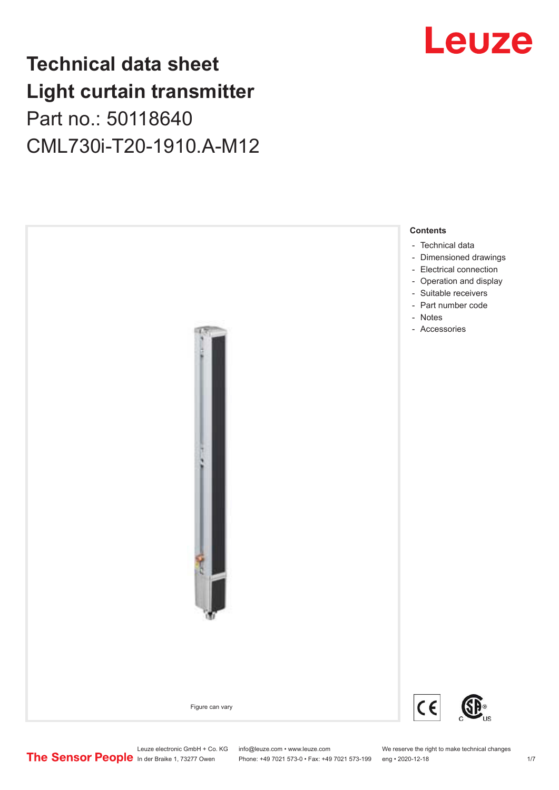## **Technical data sheet Light curtain transmitter** Part no.: 50118640 CML730i-T20-1910.A-M12





Phone: +49 7021 573-0 • Fax: +49 7021 573-199 eng • 2020-12-18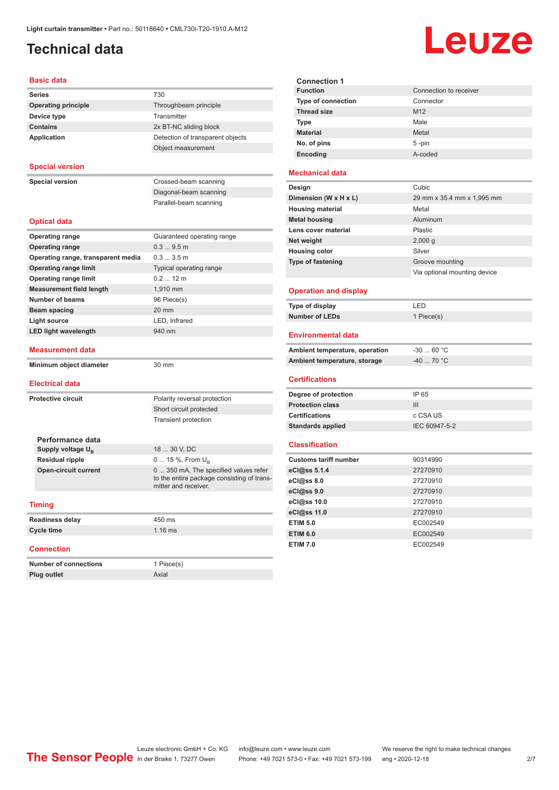## <span id="page-1-0"></span>**Technical data**

# Leuze

| <b>Basic data</b>                  |                                                                                                             |
|------------------------------------|-------------------------------------------------------------------------------------------------------------|
| <b>Series</b>                      | 730                                                                                                         |
| <b>Operating principle</b>         | Throughbeam principle                                                                                       |
| Device type                        | Transmitter                                                                                                 |
| <b>Contains</b>                    | 2x BT-NC sliding block                                                                                      |
| <b>Application</b>                 | Detection of transparent objects                                                                            |
|                                    | Object measurement                                                                                          |
| <b>Special version</b>             |                                                                                                             |
| <b>Special version</b>             | Crossed-beam scanning                                                                                       |
|                                    | Diagonal-beam scanning                                                                                      |
|                                    | Parallel-beam scanning                                                                                      |
| <b>Optical data</b>                |                                                                                                             |
| <b>Operating range</b>             | Guaranteed operating range                                                                                  |
| <b>Operating range</b>             | 0.39.5m                                                                                                     |
| Operating range, transparent media | 0.33.5m                                                                                                     |
| <b>Operating range limit</b>       | Typical operating range                                                                                     |
| <b>Operating range limit</b>       | $0.212$ m                                                                                                   |
| <b>Measurement field length</b>    | 1,910 mm                                                                                                    |
| <b>Number of beams</b>             | 96 Piece(s)                                                                                                 |
| <b>Beam spacing</b>                | 20 mm                                                                                                       |
| <b>Light source</b>                | LED, Infrared                                                                                               |
| <b>LED light wavelength</b>        | 940 nm                                                                                                      |
| <b>Measurement data</b>            |                                                                                                             |
| Minimum object diameter            | 30 mm                                                                                                       |
| <b>Electrical data</b>             |                                                                                                             |
| <b>Protective circuit</b>          | Polarity reversal protection                                                                                |
|                                    | Short circuit protected                                                                                     |
|                                    | Transient protection                                                                                        |
|                                    |                                                                                                             |
| Performance data                   |                                                                                                             |
| Supply voltage $U_{\rm B}$         | 18  30 V, DC                                                                                                |
| <b>Residual ripple</b>             | 0  15 %, From $U_{\rm B}$                                                                                   |
| <b>Open-circuit current</b>        | 0  350 mA, The specified values refer<br>to the entire package consisting of trans-<br>mitter and receiver. |
| <b>Timing</b>                      |                                                                                                             |
| <b>Readiness delay</b>             | 450 ms                                                                                                      |
| <b>Cycle time</b>                  | $1.16$ ms                                                                                                   |
| <b>Connection</b>                  |                                                                                                             |
| <b>Number of connections</b>       | 1 Piece(s)                                                                                                  |
| Plug outlet                        | Axial                                                                                                       |

| <b>Connection 1</b>       |                        |
|---------------------------|------------------------|
| <b>Function</b>           | Connection to receiver |
| <b>Type of connection</b> | Connector              |
| <b>Thread size</b>        | M <sub>12</sub>        |
| Type                      | Male                   |
| <b>Material</b>           | Metal                  |
| No. of pins               | $5 - pin$              |
| Encoding                  | A-coded                |
|                           |                        |

#### **Mechanical data**

| Design                   | Cubic                        |
|--------------------------|------------------------------|
| Dimension (W x H x L)    | 29 mm x 35.4 mm x 1,995 mm   |
| <b>Housing material</b>  | Metal                        |
| <b>Metal housing</b>     | Aluminum                     |
| Lens cover material      | <b>Plastic</b>               |
| Net weight               | 2,000 g                      |
| <b>Housing color</b>     | Silver                       |
| <b>Type of fastening</b> | Groove mounting              |
|                          | Via optional mounting device |
|                          |                              |

#### **Operation and display**

| Type of display | ' FD.      |
|-----------------|------------|
| Number of LEDs  | 1 Piece(s) |

#### **Environmental data**

| Ambient temperature, operation | -30  60 °C |
|--------------------------------|------------|
| Ambient temperature, storage   | -40  70 °C |

#### **Certifications**

| Degree of protection     | IP 65         |
|--------------------------|---------------|
| <b>Protection class</b>  | Ш             |
| <b>Certifications</b>    | c CSA US      |
| <b>Standards applied</b> | IEC 60947-5-2 |

#### **Classification**

| <b>Customs tariff number</b> | 90314990 |
|------------------------------|----------|
| eCl@ss 5.1.4                 | 27270910 |
| $eC$ <sub>0</sub> $e$ ss 8.0 | 27270910 |
| eCl@ss 9.0                   | 27270910 |
| eCl@ss 10.0                  | 27270910 |
| eCl@ss 11.0                  | 27270910 |
| <b>ETIM 5.0</b>              | EC002549 |
| <b>ETIM 6.0</b>              | EC002549 |
| <b>ETIM 7.0</b>              | EC002549 |

Leuze electronic GmbH + Co. KG info@leuze.com • www.leuze.com We reserve the right to make technical changes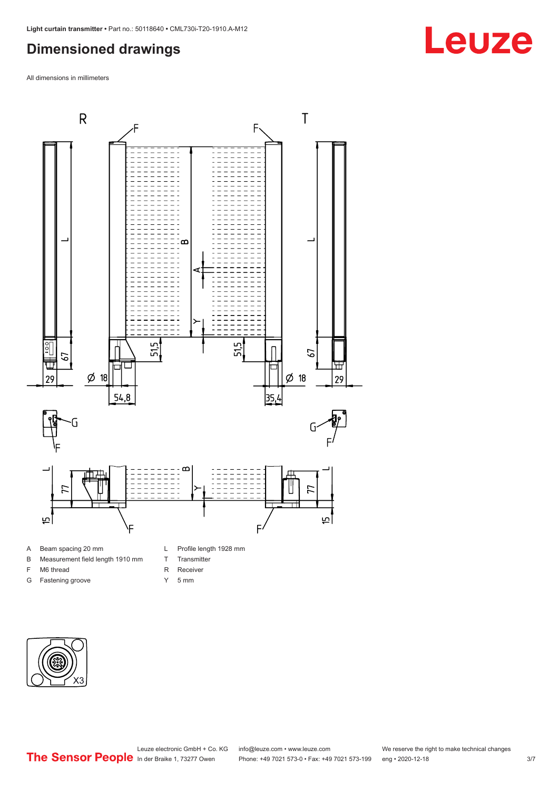## <span id="page-2-0"></span>**Dimensioned drawings**

All dimensions in millimeters



- A Beam spacing 20 mm
- B Measurement field length 1910 mm
- F M6 thread
- G Fastening groove
- L Profile length 1928 mm
- T Transmitter
- R Receiver
- Y 5 mm



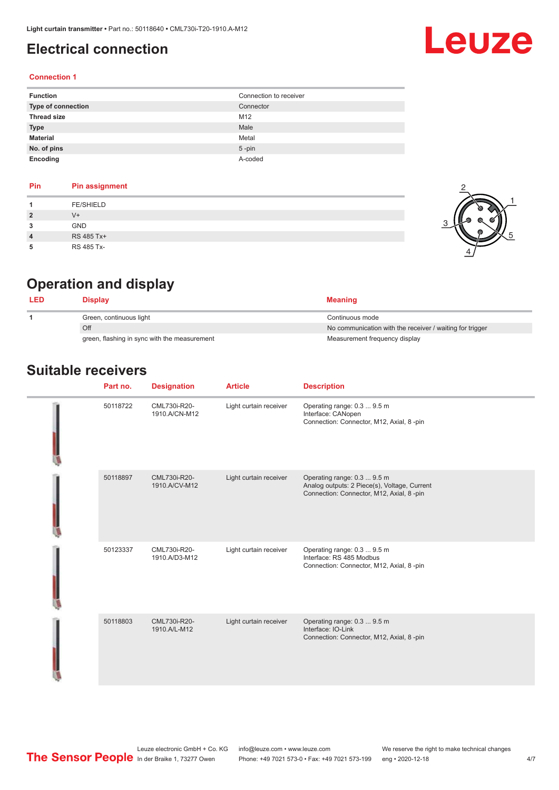## <span id="page-3-0"></span>**Electrical connection**

#### **Connection 1**

| <b>Function</b>    | Connection to receiver |
|--------------------|------------------------|
| Type of connection | Connector              |
| <b>Thread size</b> | M12                    |
| <b>Type</b>        | Male                   |
| <b>Material</b>    | Metal                  |
| No. of pins        | $5$ -pin               |
| Encoding           | A-coded                |

#### **Pin Pin assignment 1** FE/SHIELD **2** V+ **3** GND **4** RS 485 Tx+ **5** RS 485 Tx-



Leuze

## **Operation and display**

| Display                                      | <b>Meaning</b>                                           |
|----------------------------------------------|----------------------------------------------------------|
| Green, continuous light                      | Continuous mode                                          |
| Off                                          | No communication with the receiver / waiting for trigger |
| green, flashing in sync with the measurement | Measurement frequency display                            |

### **Suitable receivers**

| Part no. | <b>Designation</b>            | <b>Article</b>         | <b>Description</b>                                                                                                       |
|----------|-------------------------------|------------------------|--------------------------------------------------------------------------------------------------------------------------|
| 50118722 | CML730i-R20-<br>1910.A/CN-M12 | Light curtain receiver | Operating range: 0.3  9.5 m<br>Interface: CANopen<br>Connection: Connector, M12, Axial, 8 -pin                           |
| 50118897 | CML730i-R20-<br>1910.A/CV-M12 | Light curtain receiver | Operating range: 0.3  9.5 m<br>Analog outputs: 2 Piece(s), Voltage, Current<br>Connection: Connector, M12, Axial, 8 -pin |
| 50123337 | CML730i-R20-<br>1910.A/D3-M12 | Light curtain receiver | Operating range: 0.3  9.5 m<br>Interface: RS 485 Modbus<br>Connection: Connector, M12, Axial, 8 -pin                     |
| 50118803 | CML730i-R20-<br>1910.A/L-M12  | Light curtain receiver | Operating range: 0.3  9.5 m<br>Interface: IO-Link<br>Connection: Connector, M12, Axial, 8 -pin                           |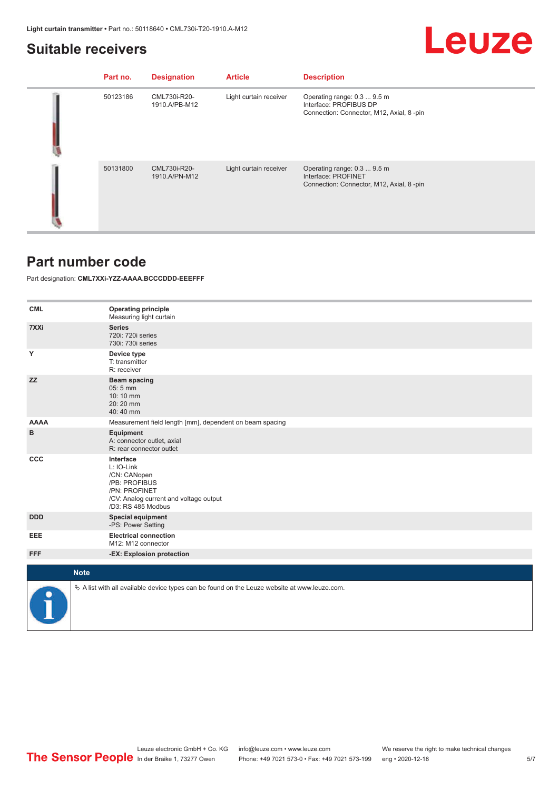#### <span id="page-4-0"></span>**Suitable receivers**

## Leuze

| Part no. | <b>Designation</b>            | <b>Article</b>         | <b>Description</b>                                                                                |
|----------|-------------------------------|------------------------|---------------------------------------------------------------------------------------------------|
| 50123186 | CML730i-R20-<br>1910.A/PB-M12 | Light curtain receiver | Operating range: 0.3  9.5 m<br>Interface: PROFIBUS DP<br>Connection: Connector, M12, Axial, 8-pin |
| 50131800 | CML730i-R20-<br>1910.A/PN-M12 | Light curtain receiver | Operating range: 0.3  9.5 m<br>Interface: PROFINET<br>Connection: Connector, M12, Axial, 8-pin    |

#### **Part number code**

Part designation: **CML7XXi-YZZ-AAAA.BCCCDDD-EEEFFF**

| <b>CML</b>  | <b>Operating principle</b><br>Measuring light curtain                                                                                     |
|-------------|-------------------------------------------------------------------------------------------------------------------------------------------|
| 7XXi        | <b>Series</b><br>720i: 720i series<br>730i: 730i series                                                                                   |
| Υ           | Device type<br>T: transmitter<br>R: receiver                                                                                              |
| <b>ZZ</b>   | Beam spacing<br>05:5 mm<br>10:10 mm<br>20:20 mm<br>40:40 mm                                                                               |
| <b>AAAA</b> | Measurement field length [mm], dependent on beam spacing                                                                                  |
| в           | Equipment<br>A: connector outlet, axial<br>R: rear connector outlet                                                                       |
| <b>CCC</b>  | Interface<br>L: IO-Link<br>/CN: CANopen<br>/PB: PROFIBUS<br>/PN: PROFINET<br>/CV: Analog current and voltage output<br>/D3: RS 485 Modbus |
| <b>DDD</b>  | <b>Special equipment</b><br>-PS: Power Setting                                                                                            |
| EEE         | <b>Electrical connection</b><br>M12: M12 connector                                                                                        |
| <b>FFF</b>  | -EX: Explosion protection                                                                                                                 |
|             |                                                                                                                                           |
|             | <b>Note</b>                                                                                                                               |
|             | $\&$ A list with all available device types can be found on the Leuze website at www.leuze.com.                                           |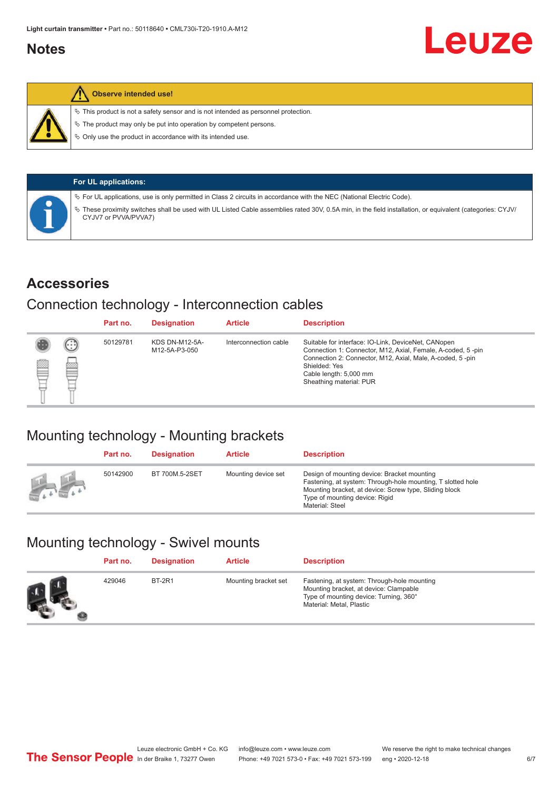### <span id="page-5-0"></span>**Notes**



#### **Observe intended use!**

 $\%$  This product is not a safety sensor and is not intended as personnel protection.

 $\%$  The product may only be put into operation by competent persons.

 $\%$  Only use the product in accordance with its intended use.

|  | <b>For UL applications:</b>                                                                                                                                                     |
|--|---------------------------------------------------------------------------------------------------------------------------------------------------------------------------------|
|  | $\%$ For UL applications, use is only permitted in Class 2 circuits in accordance with the NEC (National Electric Code).                                                        |
|  | These proximity switches shall be used with UL Listed Cable assemblies rated 30V, 0.5A min, in the field installation, or equivalent (categories: CYJV/<br>CYJV7 or PVVA/PVVA7) |

#### **Accessories**

#### Connection technology - Interconnection cables

|   |        | Part no. | <b>Designation</b>                     | <b>Article</b>        | <b>Description</b>                                                                                                                                                                                                                                    |
|---|--------|----------|----------------------------------------|-----------------------|-------------------------------------------------------------------------------------------------------------------------------------------------------------------------------------------------------------------------------------------------------|
| 國 | ⊕<br>œ | 50129781 | <b>KDS DN-M12-5A-</b><br>M12-5A-P3-050 | Interconnection cable | Suitable for interface: IO-Link, DeviceNet, CANopen<br>Connection 1: Connector, M12, Axial, Female, A-coded, 5-pin<br>Connection 2: Connector, M12, Axial, Male, A-coded, 5-pin<br>Shielded: Yes<br>Cable length: 5,000 mm<br>Sheathing material: PUR |

## Mounting technology - Mounting brackets

|               | Part no. | <b>Designation</b> | <b>Article</b>      | <b>Description</b>                                                                                                                                                                                                        |
|---------------|----------|--------------------|---------------------|---------------------------------------------------------------------------------------------------------------------------------------------------------------------------------------------------------------------------|
| <b>Altres</b> | 50142900 | BT 700M.5-2SET     | Mounting device set | Design of mounting device: Bracket mounting<br>Fastening, at system: Through-hole mounting, T slotted hole<br>Mounting bracket, at device: Screw type, Sliding block<br>Type of mounting device: Rigid<br>Material: Steel |

## Mounting technology - Swivel mounts

| Part no. | <b>Designation</b> | <b>Article</b>       | <b>Description</b>                                                                                                                                          |
|----------|--------------------|----------------------|-------------------------------------------------------------------------------------------------------------------------------------------------------------|
| 429046   | <b>BT-2R1</b>      | Mounting bracket set | Fastening, at system: Through-hole mounting<br>Mounting bracket, at device: Clampable<br>Type of mounting device: Turning, 360°<br>Material: Metal, Plastic |

Leuze